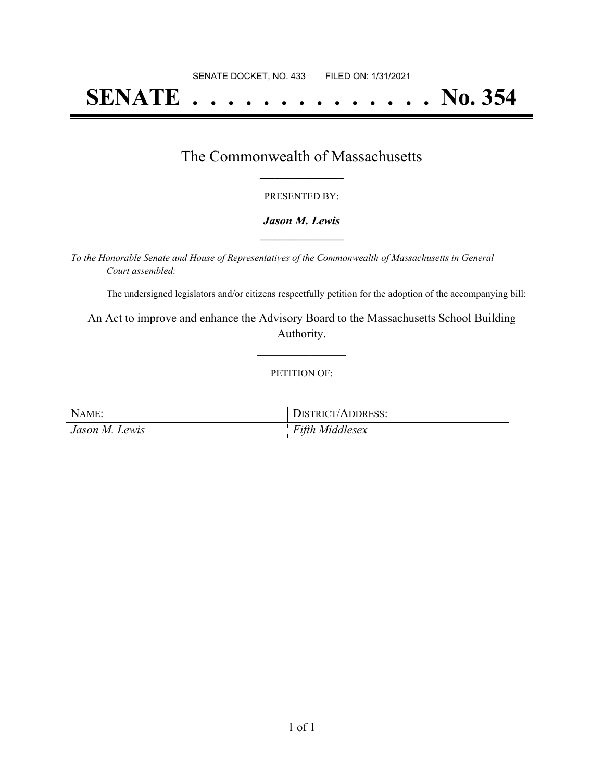# **SENATE . . . . . . . . . . . . . . No. 354**

### The Commonwealth of Massachusetts **\_\_\_\_\_\_\_\_\_\_\_\_\_\_\_\_\_**

#### PRESENTED BY:

#### *Jason M. Lewis* **\_\_\_\_\_\_\_\_\_\_\_\_\_\_\_\_\_**

*To the Honorable Senate and House of Representatives of the Commonwealth of Massachusetts in General Court assembled:*

The undersigned legislators and/or citizens respectfully petition for the adoption of the accompanying bill:

An Act to improve and enhance the Advisory Board to the Massachusetts School Building Authority.

**\_\_\_\_\_\_\_\_\_\_\_\_\_\_\_**

#### PETITION OF:

NAME: DISTRICT/ADDRESS: *Jason M. Lewis Fifth Middlesex*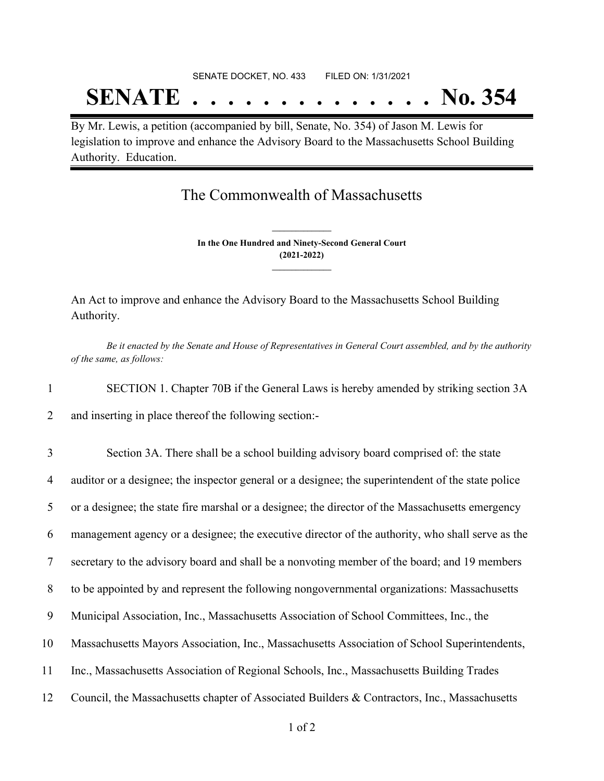# SENATE DOCKET, NO. 433 FILED ON: 1/31/2021 **SENATE . . . . . . . . . . . . . . No. 354**

By Mr. Lewis, a petition (accompanied by bill, Senate, No. 354) of Jason M. Lewis for legislation to improve and enhance the Advisory Board to the Massachusetts School Building Authority. Education.

## The Commonwealth of Massachusetts

**In the One Hundred and Ninety-Second General Court (2021-2022) \_\_\_\_\_\_\_\_\_\_\_\_\_\_\_**

**\_\_\_\_\_\_\_\_\_\_\_\_\_\_\_**

An Act to improve and enhance the Advisory Board to the Massachusetts School Building Authority.

Be it enacted by the Senate and House of Representatives in General Court assembled, and by the authority *of the same, as follows:*

1 SECTION 1. Chapter 70B if the General Laws is hereby amended by striking section 3A

2 and inserting in place thereof the following section:-

 Section 3A. There shall be a school building advisory board comprised of: the state auditor or a designee; the inspector general or a designee; the superintendent of the state police or a designee; the state fire marshal or a designee; the director of the Massachusetts emergency management agency or a designee; the executive director of the authority, who shall serve as the secretary to the advisory board and shall be a nonvoting member of the board; and 19 members to be appointed by and represent the following nongovernmental organizations: Massachusetts Municipal Association, Inc., Massachusetts Association of School Committees, Inc., the Massachusetts Mayors Association, Inc., Massachusetts Association of School Superintendents, Inc., Massachusetts Association of Regional Schools, Inc., Massachusetts Building Trades Council, the Massachusetts chapter of Associated Builders & Contractors, Inc., Massachusetts